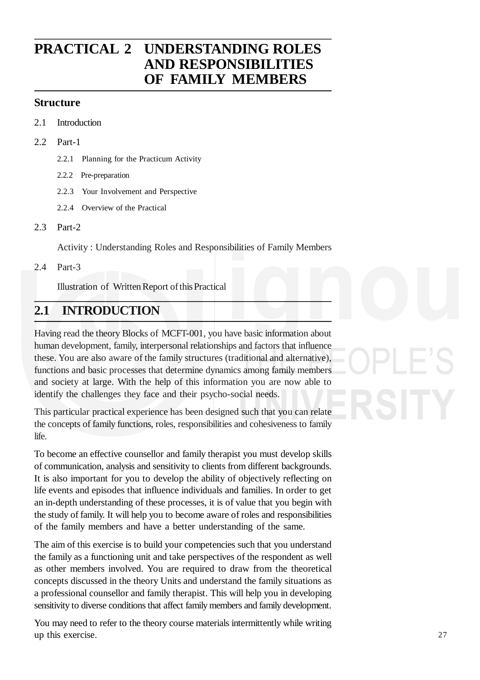# **PRACTICAL 2 UNDERSTANDING ROLES AND RESPONSIBILITIES OF FAMILY MEMBERS**

## **Structure**

- 2.1 Introduction
- 2.2 Part-1
	- 2.2.1 Planning for the Practicum Activity
	- 2.2.2 Pre-preparation
	- 2.2.3 Your Involvement and Perspective
	- 2.2.4 Overview of the Practical
- 2.3 Part-2

Activity : Understanding Roles and Responsibilities of Family Members

2.4 Part-3

Illustration of Written Report of this Practical

# **2.1 INTRODUCTION**

Having read the theory Blocks of MCFT-001, you have basic information about human development, family, interpersonal relationships and factors that influence these. You are also aware of the family structures (traditional and alternative), functions and basic processes that determine dynamics among family members and society at large. With the help of this information you are now able to identify the challenges they face and their psycho-social needs.

This particular practical experience has been designed such that you can relate the concepts of family functions, roles, responsibilities and cohesiveness to family life.

To become an effective counsellor and family therapist you must develop skills of communication, analysis and sensitivity to clients from different backgrounds. It is also important for you to develop the ability of objectively reflecting on life events and episodes that influence individuals and families. In order to get an in-depth understanding of these processes, it is of value that you begin with the study of family. It will help you to become aware of roles and responsibilities of the family members and have a better understanding of the same.

The aim of this exercise is to build your competencies such that you understand the family as a functioning unit and take perspectives of the respondent as well as other members involved. You are required to draw from the theoretical concepts discussed in the theory Units and understand the family situations as a professional counsellor and family therapist. This will help you in developing sensitivity to diverse conditions that affect family members and family development.

You may need to refer to the theory course materials intermittently while writing up this exercise.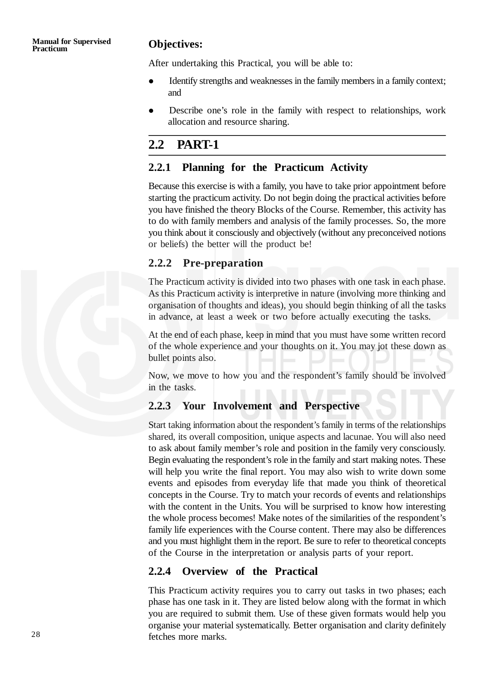## **Objectives:**

After undertaking this Practical, you will be able to:

- Identify strengths and weaknesses in the family members in a family context; and
- Describe one's role in the family with respect to relationships, work allocation and resource sharing.

## **2.2 PART-1**

## **2.2.1 Planning for the Practicum Activity**

Because this exercise is with a family, you have to take prior appointment before starting the practicum activity. Do not begin doing the practical activities before you have finished the theory Blocks of the Course. Remember, this activity has to do with family members and analysis of the family processes. So, the more you think about it consciously and objectively (without any preconceived notions or beliefs) the better will the product be!

## **2.2.2 Pre-preparation**

The Practicum activity is divided into two phases with one task in each phase. As this Practicum activity is interpretive in nature (involving more thinking and organisation of thoughts and ideas), you should begin thinking of all the tasks in advance, at least a week or two before actually executing the tasks.

At the end of each phase, keep in mind that you must have some written record of the whole experience and your thoughts on it. You may jot these down as bullet points also.

Now, we move to how you and the respondent's family should be involved in the tasks.

## **2.2.3 Your Involvement and Perspective**

Start taking information about the respondent's family in terms of the relationships shared, its overall composition, unique aspects and lacunae. You will also need to ask about family member's role and position in the family very consciously. Begin evaluating the respondent's role in the family and start making notes. These will help you write the final report. You may also wish to write down some events and episodes from everyday life that made you think of theoretical concepts in the Course. Try to match your records of events and relationships with the content in the Units. You will be surprised to know how interesting the whole process becomes! Make notes of the similarities of the respondent's family life experiences with the Course content. There may also be differences and you must highlight them in the report. Be sure to refer to theoretical concepts of the Course in the interpretation or analysis parts of your report.

## **2.2.4 Overview of the Practical**

This Practicum activity requires you to carry out tasks in two phases; each phase has one task in it. They are listed below along with the format in which you are required to submit them. Use of these given formats would help you organise your material systematically. Better organisation and clarity definitely fetches more marks.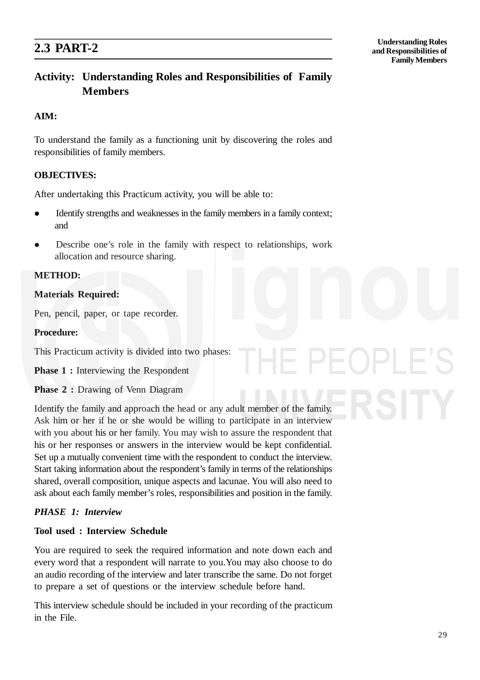# **2.3 PART-2**

## **Activity: Understanding Roles and Responsibilities of Family Members**

## **AIM:**

To understand the family as a functioning unit by discovering the roles and responsibilities of family members.

## **OBJECTIVES:**

After undertaking this Practicum activity, you will be able to:

- Identify strengths and weaknesses in the family members in a family context; and
- Describe one's role in the family with respect to relationships, work allocation and resource sharing.

## **METHOD:**

## **Materials Required:**

Pen, pencil, paper, or tape recorder.

## **Procedure:**

This Practicum activity is divided into two phases:

**Phase 1 :** Interviewing the Respondent

**Phase 2 :** Drawing of Venn Diagram

Identify the family and approach the head or any adult member of the family. Ask him or her if he or she would be willing to participate in an interview with you about his or her family. You may wish to assure the respondent that his or her responses or answers in the interview would be kept confidential. Set up a mutually convenient time with the respondent to conduct the interview. Start taking information about the respondent's family in terms of the relationships shared, overall composition, unique aspects and lacunae. You will also need to ask about each family member's roles, responsibilities and position in the family.

## *PHASE 1: Interview*

## **Tool used : Interview Schedule**

You are required to seek the required information and note down each and every word that a respondent will narrate to you.You may also choose to do an audio recording of the interview and later transcribe the same. Do not forget to prepare a set of questions or the interview schedule before hand.

This interview schedule should be included in your recording of the practicum in the File.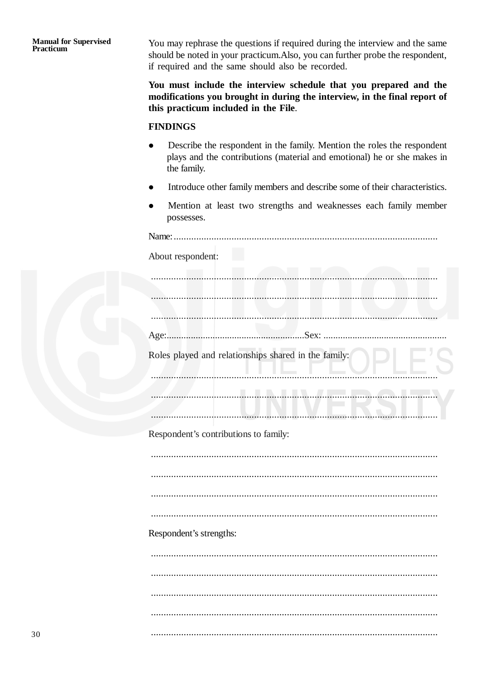**Manual for Supervised** Practicum

You may rephrase the questions if required during the interview and the same should be noted in your practicum.Also, you can further probe the respondent, if required and the same should also be recorded.

You must include the interview schedule that you prepared and the modifications you brought in during the interview, in the final report of this practicum included in the File.

## **FINDINGS**

- $\bullet$ Describe the respondent in the family. Mention the roles the respondent plays and the contributions (material and emotional) he or she makes in the family.
- Introduce other family members and describe some of their characteristics.  $\bullet$
- Mention at least two strengths and weaknesses each family member  $\bullet$ possesses.

| Name:                                                  |
|--------------------------------------------------------|
| About respondent:                                      |
|                                                        |
|                                                        |
|                                                        |
|                                                        |
| Roles played and relationships shared in the family:   |
|                                                        |
| .<br>a a<br><b>Contract Contract Contract Contract</b> |
|                                                        |
| Respondent's contributions to family:                  |
|                                                        |
|                                                        |
|                                                        |
|                                                        |
| Respondent's strengths:                                |
|                                                        |
|                                                        |
|                                                        |
|                                                        |
|                                                        |
|                                                        |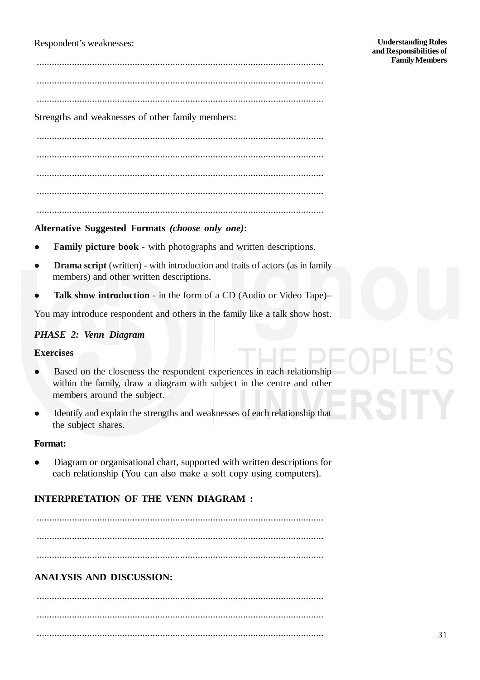Respondent's weaknesses:

**Understanding Roles and Responsibilities of Family Members**

.................................................................................................................. .................................................................................................................. ..................................................................................................................

Strengths and weaknesses of other family members:

.................................................................................................................. .................................................................................................................. .................................................................................................................. .................................................................................................................. ..................................................................................................................

## **Alternative Suggested Formats** *(choose only one)***:**

- **Family picture book** with photographs and written descriptions.
- **Drama script** (written) with introduction and traits of actors (as in family members) and other written descriptions.
- **Talk show introduction** in the form of a CD (Audio or Video Tape)–

You may introduce respondent and others in the family like a talk show host.

## *PHASE 2: Venn Diagram*

## **Exercises**

- Based on the closeness the respondent experiences in each relationship within the family, draw a diagram with subject in the centre and other members around the subject.
- Identify and explain the strengths and weaknesses of each relationship that the subject shares.

## **Format:**

 Diagram or organisational chart, supported with written descriptions for each relationship (You can also make a soft copy using computers).

## **INTERPRETATION OF THE VENN DIAGRAM :**

..................................................................................................................

..................................................................................................................

..................................................................................................................

## **ANALYSIS AND DISCUSSION:**

.................................................................................................................. .................................................................................................................. ..................................................................................................................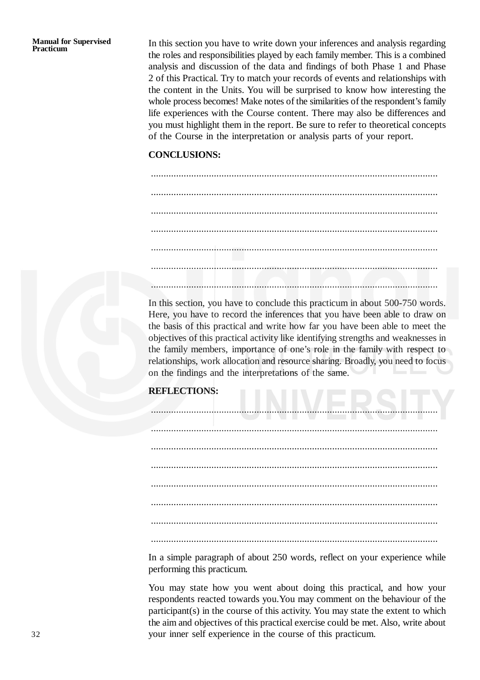**Manual for Supervised Practicum**

In this section you have to write down your inferences and analysis regarding the roles and responsibilities played by each family member. This is a combined analysis and discussion of the data and findings of both Phase 1 and Phase 2 of this Practical. Try to match your records of events and relationships with the content in the Units. You will be surprised to know how interesting the whole process becomes! Make notes of the similarities of the respondent's family life experiences with the Course content. There may also be differences and you must highlight them in the report. Be sure to refer to theoretical concepts of the Course in the interpretation or analysis parts of your report.

## **CONCLUSIONS:**

.................................................................................................................. .................................................................................................................. .................................................................................................................. .................................................................................................................. .................................................................................................................. .................................................................................................................. ..................................................................................................................

In this section, you have to conclude this practicum in about 500-750 words. Here, you have to record the inferences that you have been able to draw on the basis of this practical and write how far you have been able to meet the objectives of this practical activity like identifying strengths and weaknesses in the family members, importance of one's role in the family with respect to relationships, work allocation and resource sharing. Broadly, you need to focus on the findings and the interpretations of the same.

## **REFLECTIONS:**

.................................................................................................................. .................................................................................................................. .................................................................................................................. .................................................................................................................. .................................................................................................................. .................................................................................................................. .................................................................................................................. ..................................................................................................................

In a simple paragraph of about 250 words, reflect on your experience while performing this practicum.

You may state how you went about doing this practical, and how your respondents reacted towards you.You may comment on the behaviour of the participant(s) in the course of this activity. You may state the extent to which the aim and objectives of this practical exercise could be met. Also, write about your inner self experience in the course of this practicum.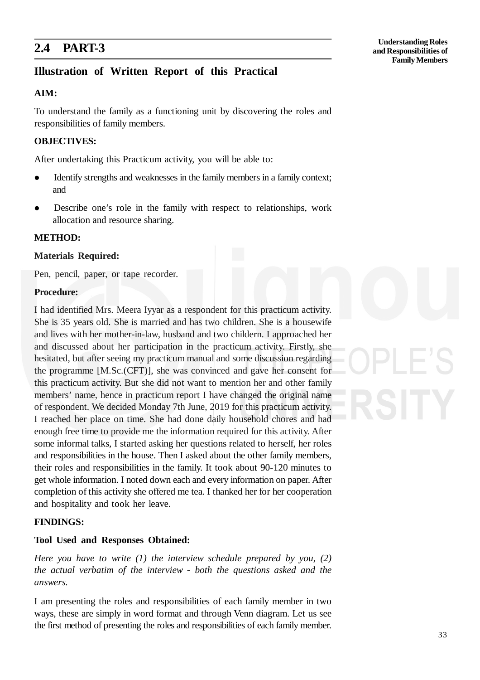## **2.4 PART-3**

## **Illustration of Written Report of this Practical**

## **AIM:**

To understand the family as a functioning unit by discovering the roles and responsibilities of family members.

## **OBJECTIVES:**

After undertaking this Practicum activity, you will be able to:

- Identify strengths and weaknesses in the family members in a family context; and
- Describe one's role in the family with respect to relationships, work allocation and resource sharing.

## **METHOD:**

## **Materials Required:**

Pen, pencil, paper, or tape recorder.

### **Procedure:**

I had identified Mrs. Meera Iyyar as a respondent for this practicum activity. She is 35 years old. She is married and has two children. She is a housewife and lives with her mother-in-law, husband and two childern. I approached her and discussed about her participation in the practicum activity. Firstly, she hesitated, but after seeing my practicum manual and some discussion regarding the programme [M.Sc.(CFT)], she was convinced and gave her consent for this practicum activity. But she did not want to mention her and other family members' name, hence in practicum report I have changed the original name of respondent. We decided Monday 7th June, 2019 for this practicum activity. I reached her place on time. She had done daily household chores and had enough free time to provide me the information required for this activity. After some informal talks, I started asking her questions related to herself, her roles and responsibilities in the house. Then I asked about the other family members, their roles and responsibilities in the family. It took about 90-120 minutes to get whole information. I noted down each and every information on paper. After completion of this activity she offered me tea. I thanked her for her cooperation and hospitality and took her leave.

## **FINDINGS:**

## **Tool Used and Responses Obtained:**

*Here you have to write (1) the interview schedule prepared by you, (2) the actual verbatim of the interview - both the questions asked and the answers.*

I am presenting the roles and responsibilities of each family member in two ways, these are simply in word format and through Venn diagram. Let us see the first method of presenting the roles and responsibilities of each family member.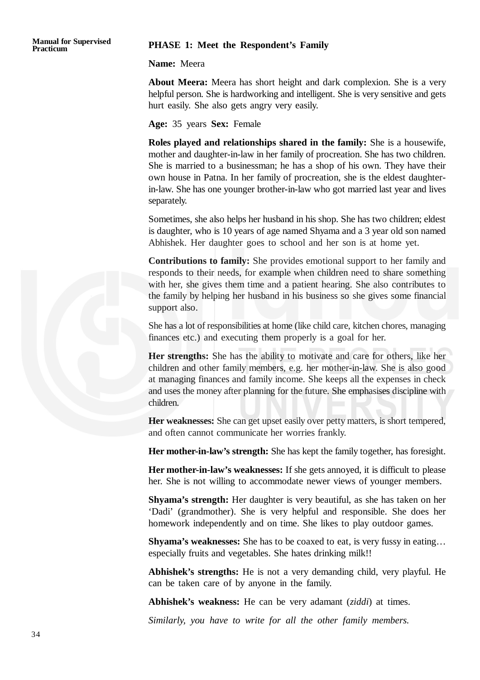### **PHASE 1: Meet the Respondent's Family**

**Name:** Meera

**About Meera:** Meera has short height and dark complexion. She is a very helpful person. She is hardworking and intelligent. She is very sensitive and gets hurt easily. She also gets angry very easily.

**Age:** 35 years **Sex:** Female

**Roles played and relationships shared in the family:** She is a housewife, mother and daughter-in-law in her family of procreation. She has two children. She is married to a businessman; he has a shop of his own. They have their own house in Patna. In her family of procreation, she is the eldest daughterin-law. She has one younger brother-in-law who got married last year and lives separately.

Sometimes, she also helps her husband in his shop. She has two children; eldest is daughter, who is 10 years of age named Shyama and a 3 year old son named Abhishek. Her daughter goes to school and her son is at home yet.

**Contributions to family:** She provides emotional support to her family and responds to their needs, for example when children need to share something with her, she gives them time and a patient hearing. She also contributes to the family by helping her husband in his business so she gives some financial support also.

She has a lot of responsibilities at home (like child care, kitchen chores, managing finances etc.) and executing them properly is a goal for her.

**Her strengths:** She has the ability to motivate and care for others, like her children and other family members, e.g. her mother-in-law. She is also good at managing finances and family income. She keeps all the expenses in check and uses the money after planning for the future. She emphasises discipline with children.

**Her weaknesses:** She can get upset easily over petty matters, is short tempered, and often cannot communicate her worries frankly.

**Her mother-in-law's strength:** She has kept the family together, has foresight.

**Her mother-in-law's weaknesses:** If she gets annoyed, it is difficult to please her. She is not willing to accommodate newer views of younger members.

**Shyama's strength:** Her daughter is very beautiful, as she has taken on her 'Dadi' (grandmother). She is very helpful and responsible. She does her homework independently and on time. She likes to play outdoor games.

**Shyama's weaknesses:** She has to be coaxed to eat, is very fussy in eating… especially fruits and vegetables. She hates drinking milk!!

**Abhishek's strengths:** He is not a very demanding child, very playful. He can be taken care of by anyone in the family.

**Abhishek's weakness:** He can be very adamant (*ziddi*) at times.

*Similarly, you have to write for all the other family members.*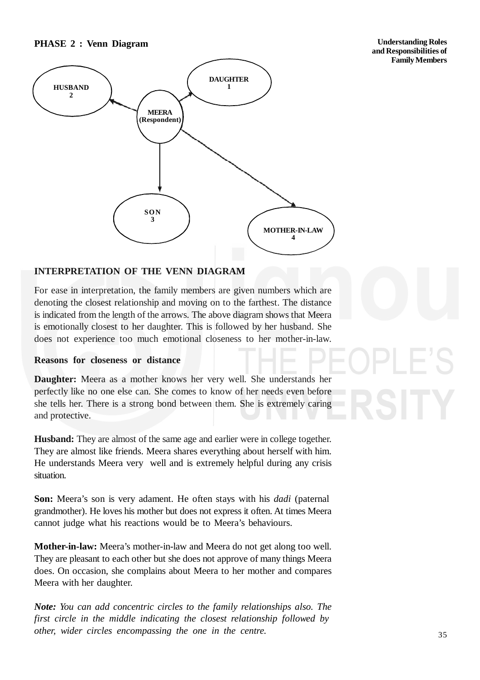## **PHASE 2 : Venn Diagram**

**Understanding Roles and Responsibilities of Family Members**



## **INTERPRETATION OF THE VENN DIAGRAM**

For ease in interpretation, the family members are given numbers which are denoting the closest relationship and moving on to the farthest. The distance is indicated from the length of the arrows. The above diagram shows that Meera is emotionally closest to her daughter. This is followed by her husband. She does not experience too much emotional closeness to her mother-in-law.

## **Reasons for closeness or distance**

**Daughter:** Meera as a mother knows her very well. She understands her perfectly like no one else can. She comes to know of her needs even before she tells her. There is a strong bond between them. She is extremely caring and protective.

**Husband:** They are almost of the same age and earlier were in college together. They are almost like friends. Meera shares everything about herself with him. He understands Meera very well and is extremely helpful during any crisis situation.

**Son:** Meera's son is very adament. He often stays with his *dadi* (paternal grandmother). He loves his mother but does not express it often. At times Meera cannot judge what his reactions would be to Meera's behaviours.

**Mother-in-law:** Meera's mother-in-law and Meera do not get along too well. They are pleasant to each other but she does not approve of many things Meera does. On occasion, she complains about Meera to her mother and compares Meera with her daughter.

*Note: You can add concentric circles to the family relationships also. The first circle in the middle indicating the closest relationship followed by other, wider circles encompassing the one in the centre.*